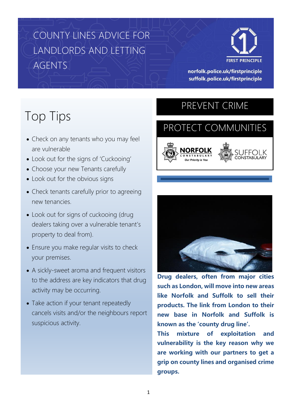# COUNTY LINES ADVICE FOR LANDLORDS AND LETTING AGENTS



norfolk.police.uk/firstprinciple suffolk.police.uk/firstprinciple

# Top Tips

- Check on any tenants who you may feel are vulnerable
- Look out for the signs of 'Cuckooing'
- Choose your new Tenants carefully
- Look out for the obvious signs
- Check tenants carefully prior to agreeing new tenancies.
- Look out for signs of cuckooing (drug dealers taking over a vulnerable tenant's property to deal from).
- Ensure you make regular visits to check your premises.
- A sickly-sweet aroma and frequent visitors to the address are key indicators that drug activity may be occurring.
- Take action if your tenant repeatedly cancels visits and/or the neighbours report suspicious activity.

## PREVENT CRIME

l

# PROTECT COMMUNITIES





**Drug dealers, often from major cities such as London, will move into new areas like Norfolk and Suffolk to sell their products. The link from London to their new base in Norfolk and Suffolk is known as the 'county drug line'.**

**This mixture of exploitation and vulnerability is the key reason why we are working with our partners to get a grip on county lines and organised crime groups.**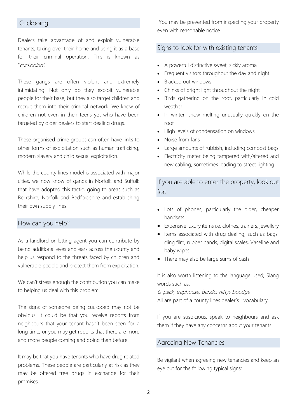### Cuckooing

Dealers take advantage of and exploit vulnerable tenants, taking over their home and using it as a base for their criminal operation. This is known as "cuckooing'.

These gangs are often violent and extremely intimidating. Not only do they exploit vulnerable people for their base, but they also target children and recruit them into their criminal network. We know of children not even in their teens yet who have been targeted by older dealers to start dealing drugs.

These organised crime groups can often have links to other forms of exploitation such as human trafficking, modern slavery and child sexual exploitation.

While the county lines model is associated with major cities, we now know of gangs in Norfolk and Suffolk that have adopted this tactic, going to areas such as Berkshire, Norfolk and Bedfordshire and establishing their own supply lines.

#### How can you help?

As a landlord or letting agent you can contribute by being additional eyes and ears across the county and help us respond to the threats faced by children and vulnerable people and protect them from exploitation.

We can't stress enough the contribution you can make to helping us deal with this problem.

The signs of someone being cuckooed may not be obvious. It could be that you receive reports from neighbours that your tenant hasn't been seen for a long time, or you may get reports that there are more and more people coming and going than before.

It may be that you have tenants who have drug related problems. These people are particularly at risk as they may be offered free drugs in exchange for their premises.

You may be prevented from inspecting your property even with reasonable notice.

### Signs to look for with existing tenants

- A powerful distinctive sweet, sickly aroma
- Frequent visitors throughout the day and night
- Blacked out windows
- Chinks of bright light throughout the night
- Birds gathering on the roof, particularly in cold weather
- In winter, snow melting unusually quickly on the roof
- High levels of condensation on windows
- Noise from fans
- Large amounts of rubbish, including compost bags
- Electricity meter being tampered with/altered and new cabling, sometimes leading to street lighting.

If you are able to enter the property, look out for:

- Lots of phones, particularly the older, cheaper handsets
- Expensive luxury items i.e. clothes, trainers, jewellery
- Items associated with drug dealing, such as bags, cling film, rubber bands, digital scales, Vaseline and baby wipes.
- There may also be large sums of cash

It is also worth listening to the language used; Slang words such as:

G-pack, traphouse, bando, nittys boodge All are part of a county lines dealer's vocabulary.

If you are suspicious, speak to neighbours and ask them if they have any concerns about your tenants.

#### Agreeing New Tenancies

Be vigilant when agreeing new tenancies and keep an eye out for the following typical signs: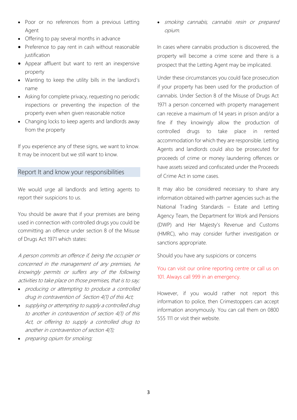- Poor or no references from a previous Letting Agent
- Offering to pay several months in advance
- Preference to pay rent in cash without reasonable justification
- Appear affluent but want to rent an inexpensive property
- Wanting to keep the utility bills in the landlord's name
- Asking for complete privacy, requesting no periodic inspections or preventing the inspection of the property even when given reasonable notice
- Changing locks to keep agents and landlords away from the property

If you experience any of these signs, we want to know. It may be innocent but we still want to know.

### Report It and know your responsibilities

We would urge all landlords and letting agents to report their suspicions to us.

You should be aware that if your premises are being used in connection with controlled drugs you could be committing an offence under section 8 of the Misuse of Drugs Act 1971 which states:

A person commits an offence if, being the occupier or concerned in the management of any premises, he knowingly permits or suffers any of the following activities to take place on those premises, that is to say;

- [producing](https://docmanager.pnld.co.uk/content/D2127.htm) or attempting to produce a [controlled](https://docmanager.pnld.co.uk/content/D2101.htm)  [drug](https://docmanager.pnld.co.uk/content/D2101.htm) in contravention of [Section 4\(1\)](https://docmanager.pnld.co.uk/content/D2103.htm) of this Act;
- [supplying](https://docmanager.pnld.co.uk/content/D2127.htm) or attempting to supply a controlled drug to another in contravention of section 4(1) of this Act, or offering to supply a controlled drug to another in contravention of section 4(1);
- preparing opium for smoking;

• smoking cannabis, cannabis resin or prepared opium.

In cases where cannabis production is discovered, the property will become a crime scene and there is a prospect that the Letting Agent may be implicated.

Under these circumstances you could face prosecution if your property has been used for the production of cannabis. Under Section 8 of the Misuse of Drugs Act 1971 a person concerned with property management can receive a maximum of 14 years in prison and/or a fine if they knowingly allow the production of controlled drugs to take place in rented accommodation for which they are responsible. Letting Agents and landlords could also be prosecuted for proceeds of crime or money laundering offences or have assets seized and confiscated under the Proceeds of Crime Act in some cases.

It may also be considered necessary to share any information obtained with partner agencies such as the National Trading Standards – Estate and Letting Agency Team, the Department for Work and Pensions (DWP) and Her Majesty's Revenue and Customs (HMRC), who may consider further investigation or sanctions appropriate.

Should you have any suspicions or concerns

You can visit our online reporting centre or call us on 101. Always call 999 in an emergency.

However, if you would rather not report this information to police, then Crimestoppers can accept information anonymously. You can call them on 0800 555 111 or visit their website.